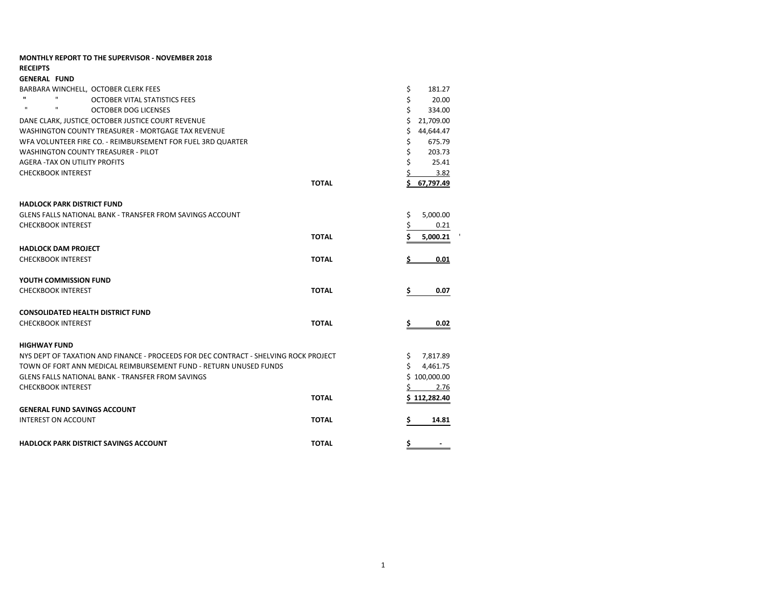| <b>MONTHLY REPORT TO THE SUPERVISOR - NOVEMBER 2018</b>                              |                  |
|--------------------------------------------------------------------------------------|------------------|
| <b>RECEIPTS</b>                                                                      |                  |
| <b>GENERAL FUND</b>                                                                  |                  |
| BARBARA WINCHELL, OCTOBER CLERK FEES                                                 | \$<br>181.27     |
| п.<br>п<br>OCTOBER VITAL STATISTICS FEES                                             | \$<br>20.00      |
| $\mathbf{u}$<br>$\mathbf{u}$<br><b>OCTOBER DOG LICENSES</b>                          | \$<br>334.00     |
| DANE CLARK, JUSTICE OCTOBER JUSTICE COURT REVENUE                                    | Ś<br>21,709.00   |
| WASHINGTON COUNTY TREASURER - MORTGAGE TAX REVENUE                                   | Ś<br>44,644.47   |
| WFA VOLUNTEER FIRE CO. - REIMBURSEMENT FOR FUEL 3RD QUARTER                          | \$<br>675.79     |
| <b>WASHINGTON COUNTY TREASURER - PILOT</b>                                           | \$<br>203.73     |
| <b>AGERA -TAX ON UTILITY PROFITS</b>                                                 | \$<br>25.41      |
| <b>CHECKBOOK INTEREST</b>                                                            | \$<br>3.82       |
| <b>TOTAL</b>                                                                         | 67,797.49<br>\$. |
| <b>HADLOCK PARK DISTRICT FUND</b>                                                    |                  |
| GLENS FALLS NATIONAL BANK - TRANSFER FROM SAVINGS ACCOUNT                            | \$<br>5,000.00   |
| <b>CHECKBOOK INTEREST</b>                                                            | \$<br>0.21       |
| <b>TOTAL</b>                                                                         | Ś.<br>5,000.21   |
| <b>HADLOCK DAM PROJECT</b>                                                           |                  |
| <b>CHECKBOOK INTEREST</b><br><b>TOTAL</b>                                            | 0.01<br>\$       |
| YOUTH COMMISSION FUND                                                                |                  |
| <b>CHECKBOOK INTEREST</b><br><b>TOTAL</b>                                            | \$<br>0.07       |
| <b>CONSOLIDATED HEALTH DISTRICT FUND</b>                                             |                  |
| <b>CHECKBOOK INTEREST</b><br><b>TOTAL</b>                                            | \$<br>0.02       |
| <b>HIGHWAY FUND</b>                                                                  |                  |
| NYS DEPT OF TAXATION AND FINANCE - PROCEEDS FOR DEC CONTRACT - SHELVING ROCK PROJECT | \$<br>7,817.89   |
| TOWN OF FORT ANN MEDICAL REIMBURSEMENT FUND - RETURN UNUSED FUNDS                    | Ś.<br>4,461.75   |
| <b>GLENS FALLS NATIONAL BANK - TRANSFER FROM SAVINGS</b>                             | \$100,000.00     |
| <b>CHECKBOOK INTEREST</b>                                                            | Ś<br>2.76        |
| <b>TOTAL</b>                                                                         | \$112,282.40     |
| <b>GENERAL FUND SAVINGS ACCOUNT</b>                                                  |                  |
| <b>INTEREST ON ACCOUNT</b><br><b>TOTAL</b>                                           | 14.81<br>Ş       |
| <b>TOTAL</b><br><b>HADLOCK PARK DISTRICT SAVINGS ACCOUNT</b>                         | \$               |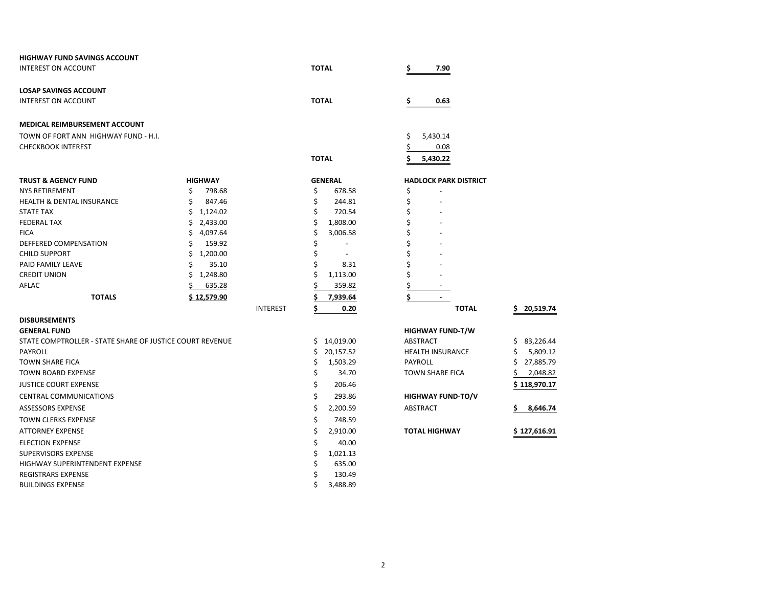| <b>HIGHWAY FUND SAVINGS ACCOUNT</b>                      |                |                 |                 |                              |                 |
|----------------------------------------------------------|----------------|-----------------|-----------------|------------------------------|-----------------|
| INTEREST ON ACCOUNT                                      |                |                 | <b>TOTAL</b>    | \$<br>7.90                   |                 |
| <b>LOSAP SAVINGS ACCOUNT</b>                             |                |                 |                 |                              |                 |
| <b>INTEREST ON ACCOUNT</b>                               |                |                 | <b>TOTAL</b>    | \$<br>0.63                   |                 |
| <b>MEDICAL REIMBURSEMENT ACCOUNT</b>                     |                |                 |                 |                              |                 |
| TOWN OF FORT ANN HIGHWAY FUND - H.I.                     |                |                 |                 | \$<br>5,430.14               |                 |
| <b>CHECKBOOK INTEREST</b>                                |                |                 |                 | \$<br>0.08                   |                 |
|                                                          |                |                 | <b>TOTAL</b>    | \$<br>5,430.22               |                 |
| <b>TRUST &amp; AGENCY FUND</b>                           | <b>HIGHWAY</b> |                 | <b>GENERAL</b>  | <b>HADLOCK PARK DISTRICT</b> |                 |
| <b>NYS RETIREMENT</b>                                    | Ś<br>798.68    |                 | \$<br>678.58    | \$                           |                 |
| <b>HEALTH &amp; DENTAL INSURANCE</b>                     | Ś<br>847.46    |                 | \$<br>244.81    | \$                           |                 |
| <b>STATE TAX</b>                                         | 1,124.02<br>Ś. |                 | \$<br>720.54    | \$                           |                 |
| <b>FEDERAL TAX</b>                                       | 2,433.00<br>Ś. |                 | \$<br>1,808.00  | \$                           |                 |
| <b>FICA</b>                                              | 4,097.64<br>Ś  |                 | \$<br>3,006.58  | \$                           |                 |
| DEFFERED COMPENSATION                                    | Ś<br>159.92    |                 | \$              |                              |                 |
| <b>CHILD SUPPORT</b>                                     | Ś<br>1,200.00  |                 | \$<br>$\sim$    |                              |                 |
| PAID FAMILY LEAVE                                        | 35.10          |                 | Ś<br>8.31       | Ś                            |                 |
| <b>CREDIT UNION</b>                                      | 1,248.80<br>s  |                 | \$<br>1,113.00  | \$                           |                 |
| AFLAC                                                    | 635.28         |                 | 359.82          | \$                           |                 |
| <b>TOTALS</b>                                            | \$12,579.90    |                 | Ś<br>7,939.64   | \$<br>$\blacksquare$         |                 |
|                                                          |                | <b>INTEREST</b> | \$<br>0.20      | <b>TOTAL</b>                 | 20,519.74<br>s  |
| <b>DISBURSEMENTS</b>                                     |                |                 |                 |                              |                 |
| <b>GENERAL FUND</b>                                      |                |                 |                 | <b>HIGHWAY FUND-T/W</b>      |                 |
| STATE COMPTROLLER - STATE SHARE OF JUSTICE COURT REVENUE |                |                 | \$14,019.00     | ABSTRACT                     | 83,226.44<br>\$ |
| <b>PAYROLL</b>                                           |                |                 | 20,157.52<br>\$ | <b>HEALTH INSURANCE</b>      | 5,809.12        |
| <b>TOWN SHARE FICA</b>                                   |                |                 | \$<br>1,503.29  | PAYROLL                      | 27,885.79<br>S  |
| <b>TOWN BOARD EXPENSE</b>                                |                |                 | \$<br>34.70     | <b>TOWN SHARE FICA</b>       | 2,048.82        |
| <b>JUSTICE COURT EXPENSE</b>                             |                |                 | \$<br>206.46    |                              | \$ 118,970.17   |
| <b>CENTRAL COMMUNICATIONS</b>                            |                |                 | \$<br>293.86    | <b>HIGHWAY FUND-TO/V</b>     |                 |
| <b>ASSESSORS EXPENSE</b>                                 |                |                 | \$<br>2,200.59  | ABSTRACT                     | Ś.<br>8,646.74  |
| <b>TOWN CLERKS EXPENSE</b>                               |                |                 | \$<br>748.59    |                              |                 |
| <b>ATTORNEY EXPENSE</b>                                  |                |                 | \$<br>2,910.00  | <b>TOTAL HIGHWAY</b>         | \$127,616.91    |
| <b>ELECTION EXPENSE</b>                                  |                |                 | \$<br>40.00     |                              |                 |
| <b>SUPERVISORS EXPENSE</b>                               |                |                 | \$<br>1,021.13  |                              |                 |
| HIGHWAY SUPERINTENDENT EXPENSE                           |                |                 | Ś<br>635.00     |                              |                 |
| <b>REGISTRARS EXPENSE</b>                                |                |                 | Ś<br>130.49     |                              |                 |
| <b>BUILDINGS EXPENSE</b>                                 |                |                 | \$<br>3,488.89  |                              |                 |

| <b>TOTAL</b>           |    | 20,519.74    |
|------------------------|----|--------------|
| <b>SHWAY FUND-T/W</b>  |    |              |
| STRACT                 | Ś  | 83,226.44    |
| ALTH INSURANCE         | \$ | 5,809.12     |
| YROLL                  | Ś  | 27,885.79    |
| WN SHARE FICA          |    | 2.048.82     |
|                        |    | \$118,970.17 |
| <b>SHWAY FUND-TO/V</b> |    |              |
| STRACT                 | \$ | 8.646.74     |
|                        |    |              |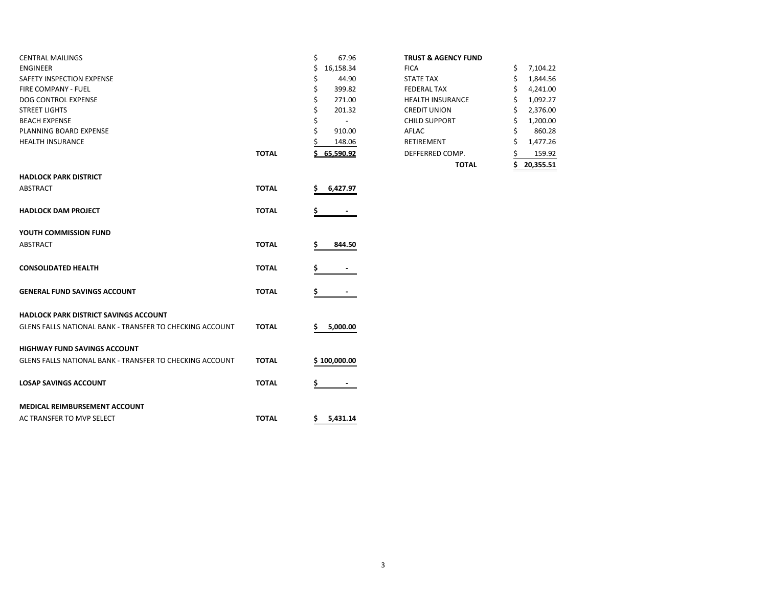| <b>CENTRAL MAILINGS</b>                                  |              | \$<br>67.96              | <b>TRUST &amp; AGENCY FUND</b> |                 |
|----------------------------------------------------------|--------------|--------------------------|--------------------------------|-----------------|
| <b>ENGINEER</b>                                          |              | \$<br>16,158.34          | <b>FICA</b>                    | 7,104.22<br>\$  |
| SAFETY INSPECTION EXPENSE                                |              | \$<br>44.90              | <b>STATE TAX</b>               | 1,844.56<br>S   |
| FIRE COMPANY - FUEL                                      |              | Ś<br>399.82              | <b>FEDERAL TAX</b>             | 4,241.00        |
| DOG CONTROL EXPENSE                                      |              | 271.00<br>S              | <b>HEALTH INSURANCE</b>        | 1,092.27        |
| <b>STREET LIGHTS</b>                                     |              | 201.32                   | <b>CREDIT UNION</b>            | 2,376.00        |
| <b>BEACH EXPENSE</b>                                     |              | $\overline{\phantom{a}}$ | <b>CHILD SUPPORT</b>           | 1,200.00        |
| PLANNING BOARD EXPENSE                                   |              | 910.00                   | AFLAC                          | 860.28          |
| <b>HEALTH INSURANCE</b>                                  |              | 148.06                   | RETIREMENT                     | 1,477.26<br>S   |
|                                                          | <b>TOTAL</b> | 65,590.92                | DEFFERRED COMP.                | 159.92          |
|                                                          |              |                          | <b>TOTAL</b>                   | 20,355.51<br>S. |
| <b>HADLOCK PARK DISTRICT</b>                             |              |                          |                                |                 |
| <b>ABSTRACT</b>                                          | <b>TOTAL</b> | 6,427.97<br>s            |                                |                 |
| <b>HADLOCK DAM PROJECT</b>                               | <b>TOTAL</b> | $\blacksquare$           |                                |                 |
| YOUTH COMMISSION FUND                                    |              |                          |                                |                 |
| <b>ABSTRACT</b>                                          | <b>TOTAL</b> | 844.50                   |                                |                 |
| <b>CONSOLIDATED HEALTH</b>                               | <b>TOTAL</b> |                          |                                |                 |
| <b>GENERAL FUND SAVINGS ACCOUNT</b>                      | <b>TOTAL</b> | Ş.<br>$\sim$             |                                |                 |
| <b>HADLOCK PARK DISTRICT SAVINGS ACCOUNT</b>             |              |                          |                                |                 |
| GLENS FALLS NATIONAL BANK - TRANSFER TO CHECKING ACCOUNT | <b>TOTAL</b> | 5,000.00<br>s            |                                |                 |
| <b>HIGHWAY FUND SAVINGS ACCOUNT</b>                      |              |                          |                                |                 |
| GLENS FALLS NATIONAL BANK - TRANSFER TO CHECKING ACCOUNT | <b>TOTAL</b> | \$100,000.00             |                                |                 |
| <b>LOSAP SAVINGS ACCOUNT</b>                             | <b>TOTAL</b> |                          |                                |                 |
| <b>MEDICAL REIMBURSEMENT ACCOUNT</b>                     |              |                          |                                |                 |
| AC TRANSFER TO MVP SELECT                                | <b>TOTAL</b> | \$<br>5,431.14           |                                |                 |

## **TRUST & AGENCY FUND**

|       |                                | TOTAL                   | 20,355.51      |
|-------|--------------------------------|-------------------------|----------------|
| TOTAL | 65,590.92                      | DEFFERRED COMP.         | 159.92         |
|       | 148.06                         | <b>RETIREMENT</b>       | \$<br>1,477.26 |
|       | \$<br>910.00                   | AFLAC                   | \$<br>860.28   |
|       | \$<br>$\overline{\phantom{0}}$ | <b>CHILD SUPPORT</b>    | \$<br>1,200.00 |
|       | \$<br>201.32                   | <b>CREDIT UNION</b>     | \$<br>2,376.00 |
|       | \$<br>271.00                   | <b>HEALTH INSURANCE</b> | \$<br>1,092.27 |
|       | \$<br>399.82                   | <b>FEDERAL TAX</b>      | \$<br>4,241.00 |
|       | \$<br>44.90                    | <b>STATE TAX</b>        | \$<br>1,844.56 |
|       | 16,158.34                      | <b>FICA</b>             | \$<br>7,104.22 |